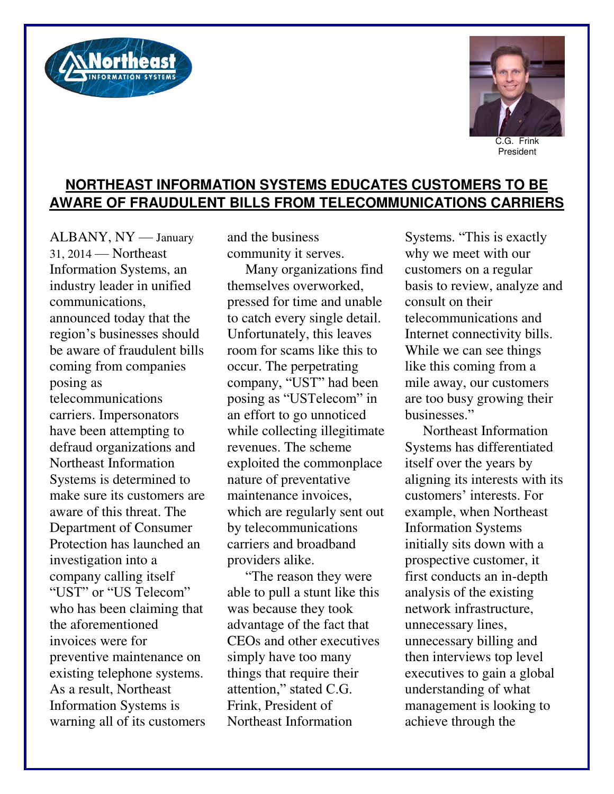



President

## **NORTHEAST INFORMATION SYSTEMS EDUCATES CUSTOMERS TO BE AWARE OF FRAUDULENT BILLS FROM TELECOMMUNICATIONS CARRIERS**

ALBANY, NY — January 31, 2014 — Northeast Information Systems, an industry leader in unified communications, announced today that the region's businesses should be aware of fraudulent bills coming from companies posing as telecommunications carriers. Impersonators have been attempting to defraud organizations and Northeast Information Systems is determined to make sure its customers are aware of this threat. The Department of Consumer Protection has launched an investigation into a company calling itself "UST" or "US Telecom" who has been claiming that the aforementioned invoices were for preventive maintenance on existing telephone systems. As a result, Northeast Information Systems is warning all of its customers

and the business community it serves.

Many organizations find themselves overworked, pressed for time and unable to catch every single detail. Unfortunately, this leaves room for scams like this to occur. The perpetrating company, "UST" had been posing as "USTelecom" in an effort to go unnoticed while collecting illegitimate revenues. The scheme exploited the commonplace nature of preventative maintenance invoices, which are regularly sent out by telecommunications carriers and broadband providers alike.

"The reason they were able to pull a stunt like this was because they took advantage of the fact that CEOs and other executives simply have too many things that require their attention," stated C.G. Frink, President of Northeast Information

Systems. "This is exactly why we meet with our customers on a regular basis to review, analyze and consult on their telecommunications and Internet connectivity bills. While we can see things like this coming from a mile away, our customers are too busy growing their businesses."

Northeast Information Systems has differentiated itself over the years by aligning its interests with its customers' interests. For example, when Northeast Information Systems initially sits down with a prospective customer, it first conducts an in-depth analysis of the existing network infrastructure, unnecessary lines, unnecessary billing and then interviews top level executives to gain a global understanding of what management is looking to achieve through the